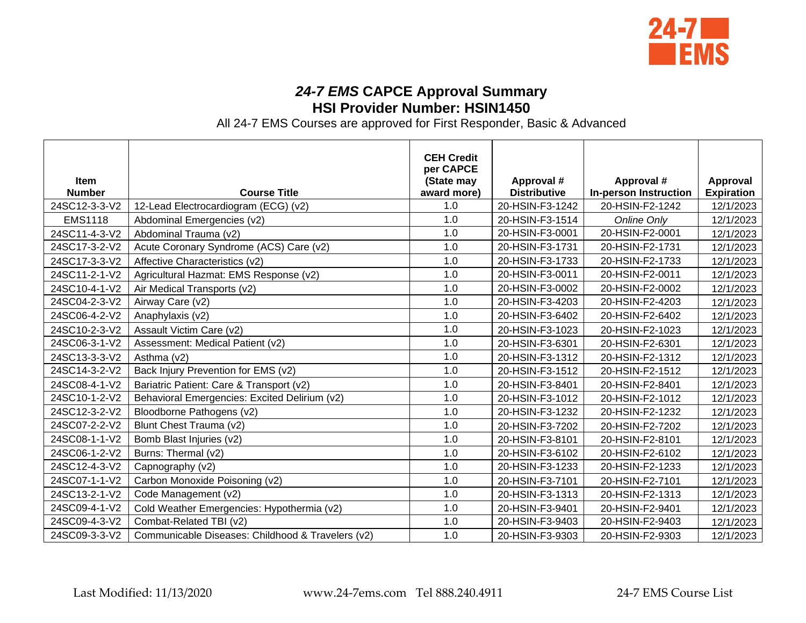

## *24-7 EMS* **CAPCE Approval Summary HSI Provider Number: HSIN1450**

All 24-7 EMS Courses are approved for First Responder, Basic & Advanced

|                |                                                   | <b>CEH Credit</b><br>per CAPCE |                     |                              |                   |
|----------------|---------------------------------------------------|--------------------------------|---------------------|------------------------------|-------------------|
| <b>Item</b>    |                                                   | (State may                     | Approval #          | Approval #                   | Approval          |
| <b>Number</b>  | <b>Course Title</b>                               | award more)                    | <b>Distributive</b> | <b>In-person Instruction</b> | <b>Expiration</b> |
| 24SC12-3-3-V2  | 12-Lead Electrocardiogram (ECG) (v2)              | 1.0                            | 20-HSIN-F3-1242     | 20-HSIN-F2-1242              | 12/1/2023         |
| <b>EMS1118</b> | Abdominal Emergencies (v2)                        | 1.0                            | 20-HSIN-F3-1514     | Online Only                  | 12/1/2023         |
| 24SC11-4-3-V2  | Abdominal Trauma (v2)                             | 1.0                            | 20-HSIN-F3-0001     | 20-HSIN-F2-0001              | 12/1/2023         |
| 24SC17-3-2-V2  | Acute Coronary Syndrome (ACS) Care (v2)           | 1.0                            | 20-HSIN-F3-1731     | 20-HSIN-F2-1731              | 12/1/2023         |
| 24SC17-3-3-V2  | Affective Characteristics (v2)                    | 1.0                            | 20-HSIN-F3-1733     | 20-HSIN-F2-1733              | 12/1/2023         |
| 24SC11-2-1-V2  | Agricultural Hazmat: EMS Response (v2)            | 1.0                            | 20-HSIN-F3-0011     | 20-HSIN-F2-0011              | 12/1/2023         |
| 24SC10-4-1-V2  | Air Medical Transports (v2)                       | 1.0                            | 20-HSIN-F3-0002     | 20-HSIN-F2-0002              | 12/1/2023         |
| 24SC04-2-3-V2  | Airway Care (v2)                                  | 1.0                            | 20-HSIN-F3-4203     | 20-HSIN-F2-4203              | 12/1/2023         |
| 24SC06-4-2-V2  | Anaphylaxis (v2)                                  | 1.0                            | 20-HSIN-F3-6402     | 20-HSIN-F2-6402              | 12/1/2023         |
| 24SC10-2-3-V2  | Assault Victim Care (v2)                          | 1.0                            | 20-HSIN-F3-1023     | 20-HSIN-F2-1023              | 12/1/2023         |
| 24SC06-3-1-V2  | Assessment: Medical Patient (v2)                  | 1.0                            | 20-HSIN-F3-6301     | 20-HSIN-F2-6301              | 12/1/2023         |
| 24SC13-3-3-V2  | Asthma (v2)                                       | 1.0                            | 20-HSIN-F3-1312     | 20-HSIN-F2-1312              | 12/1/2023         |
| 24SC14-3-2-V2  | Back Injury Prevention for EMS (v2)               | 1.0                            | 20-HSIN-F3-1512     | 20-HSIN-F2-1512              | 12/1/2023         |
| 24SC08-4-1-V2  | Bariatric Patient: Care & Transport (v2)          | 1.0                            | 20-HSIN-F3-8401     | 20-HSIN-F2-8401              | 12/1/2023         |
| 24SC10-1-2-V2  | Behavioral Emergencies: Excited Delirium (v2)     | 1.0                            | 20-HSIN-F3-1012     | 20-HSIN-F2-1012              | 12/1/2023         |
| 24SC12-3-2-V2  | Bloodborne Pathogens (v2)                         | 1.0                            | 20-HSIN-F3-1232     | 20-HSIN-F2-1232              | 12/1/2023         |
| 24SC07-2-2-V2  | Blunt Chest Trauma (v2)                           | 1.0                            | 20-HSIN-F3-7202     | 20-HSIN-F2-7202              | 12/1/2023         |
| 24SC08-1-1-V2  | Bomb Blast Injuries (v2)                          | 1.0                            | 20-HSIN-F3-8101     | 20-HSIN-F2-8101              | 12/1/2023         |
| 24SC06-1-2-V2  | Burns: Thermal (v2)                               | 1.0                            | 20-HSIN-F3-6102     | 20-HSIN-F2-6102              | 12/1/2023         |
| 24SC12-4-3-V2  | Capnography (v2)                                  | 1.0                            | 20-HSIN-F3-1233     | 20-HSIN-F2-1233              | 12/1/2023         |
| 24SC07-1-1-V2  | Carbon Monoxide Poisoning (v2)                    | 1.0                            | 20-HSIN-F3-7101     | 20-HSIN-F2-7101              | 12/1/2023         |
| 24SC13-2-1-V2  | Code Management (v2)                              | 1.0                            | 20-HSIN-F3-1313     | 20-HSIN-F2-1313              | 12/1/2023         |
| 24SC09-4-1-V2  | Cold Weather Emergencies: Hypothermia (v2)        | 1.0                            | 20-HSIN-F3-9401     | 20-HSIN-F2-9401              | 12/1/2023         |
| 24SC09-4-3-V2  | Combat-Related TBI (v2)                           | 1.0                            | 20-HSIN-F3-9403     | 20-HSIN-F2-9403              | 12/1/2023         |
| 24SC09-3-3-V2  | Communicable Diseases: Childhood & Travelers (v2) | 1.0                            | 20-HSIN-F3-9303     | 20-HSIN-F2-9303              | 12/1/2023         |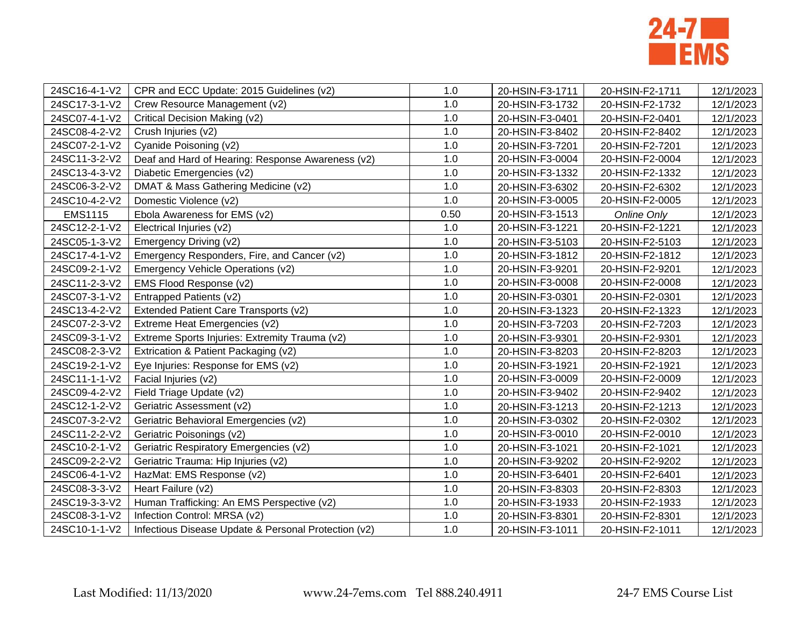

| 24SC16-4-1-V2  | CPR and ECC Update: 2015 Guidelines (v2)             | 1.0  | 20-HSIN-F3-1711 | 20-HSIN-F2-1711 | 12/1/2023 |
|----------------|------------------------------------------------------|------|-----------------|-----------------|-----------|
| 24SC17-3-1-V2  | Crew Resource Management (v2)                        | 1.0  | 20-HSIN-F3-1732 | 20-HSIN-F2-1732 | 12/1/2023 |
| 24SC07-4-1-V2  | Critical Decision Making (v2)                        | 1.0  | 20-HSIN-F3-0401 | 20-HSIN-F2-0401 | 12/1/2023 |
| 24SC08-4-2-V2  | Crush Injuries (v2)                                  | 1.0  | 20-HSIN-F3-8402 | 20-HSIN-F2-8402 | 12/1/2023 |
| 24SC07-2-1-V2  | Cyanide Poisoning (v2)                               | 1.0  | 20-HSIN-F3-7201 | 20-HSIN-F2-7201 | 12/1/2023 |
| 24SC11-3-2-V2  | Deaf and Hard of Hearing: Response Awareness (v2)    | 1.0  | 20-HSIN-F3-0004 | 20-HSIN-F2-0004 | 12/1/2023 |
| 24SC13-4-3-V2  | Diabetic Emergencies (v2)                            | 1.0  | 20-HSIN-F3-1332 | 20-HSIN-F2-1332 | 12/1/2023 |
| 24SC06-3-2-V2  | DMAT & Mass Gathering Medicine (v2)                  | 1.0  | 20-HSIN-F3-6302 | 20-HSIN-F2-6302 | 12/1/2023 |
| 24SC10-4-2-V2  | Domestic Violence (v2)                               | 1.0  | 20-HSIN-F3-0005 | 20-HSIN-F2-0005 | 12/1/2023 |
| <b>EMS1115</b> | Ebola Awareness for EMS (v2)                         | 0.50 | 20-HSIN-F3-1513 | Online Only     | 12/1/2023 |
| 24SC12-2-1-V2  | Electrical Injuries (v2)                             | 1.0  | 20-HSIN-F3-1221 | 20-HSIN-F2-1221 | 12/1/2023 |
| 24SC05-1-3-V2  | Emergency Driving (v2)                               | 1.0  | 20-HSIN-F3-5103 | 20-HSIN-F2-5103 | 12/1/2023 |
| 24SC17-4-1-V2  | Emergency Responders, Fire, and Cancer (v2)          | 1.0  | 20-HSIN-F3-1812 | 20-HSIN-F2-1812 | 12/1/2023 |
| 24SC09-2-1-V2  | Emergency Vehicle Operations (v2)                    | 1.0  | 20-HSIN-F3-9201 | 20-HSIN-F2-9201 | 12/1/2023 |
| 24SC11-2-3-V2  | EMS Flood Response (v2)                              | 1.0  | 20-HSIN-F3-0008 | 20-HSIN-F2-0008 | 12/1/2023 |
| 24SC07-3-1-V2  | Entrapped Patients (v2)                              | 1.0  | 20-HSIN-F3-0301 | 20-HSIN-F2-0301 | 12/1/2023 |
| 24SC13-4-2-V2  | Extended Patient Care Transports (v2)                | 1.0  | 20-HSIN-F3-1323 | 20-HSIN-F2-1323 | 12/1/2023 |
| 24SC07-2-3-V2  | Extreme Heat Emergencies (v2)                        | 1.0  | 20-HSIN-F3-7203 | 20-HSIN-F2-7203 | 12/1/2023 |
| 24SC09-3-1-V2  | Extreme Sports Injuries: Extremity Trauma (v2)       | 1.0  | 20-HSIN-F3-9301 | 20-HSIN-F2-9301 | 12/1/2023 |
| 24SC08-2-3-V2  | Extrication & Patient Packaging (v2)                 | 1.0  | 20-HSIN-F3-8203 | 20-HSIN-F2-8203 | 12/1/2023 |
| 24SC19-2-1-V2  | Eye Injuries: Response for EMS (v2)                  | 1.0  | 20-HSIN-F3-1921 | 20-HSIN-F2-1921 | 12/1/2023 |
| 24SC11-1-1-V2  | Facial Injuries (v2)                                 | 1.0  | 20-HSIN-F3-0009 | 20-HSIN-F2-0009 | 12/1/2023 |
| 24SC09-4-2-V2  | Field Triage Update (v2)                             | 1.0  | 20-HSIN-F3-9402 | 20-HSIN-F2-9402 | 12/1/2023 |
| 24SC12-1-2-V2  | Geriatric Assessment (v2)                            | 1.0  | 20-HSIN-F3-1213 | 20-HSIN-F2-1213 | 12/1/2023 |
| 24SC07-3-2-V2  | Geriatric Behavioral Emergencies (v2)                | 1.0  | 20-HSIN-F3-0302 | 20-HSIN-F2-0302 | 12/1/2023 |
| 24SC11-2-2-V2  | Geriatric Poisonings (v2)                            | 1.0  | 20-HSIN-F3-0010 | 20-HSIN-F2-0010 | 12/1/2023 |
| 24SC10-2-1-V2  | Geriatric Respiratory Emergencies (v2)               | 1.0  | 20-HSIN-F3-1021 | 20-HSIN-F2-1021 | 12/1/2023 |
| 24SC09-2-2-V2  | Geriatric Trauma: Hip Injuries (v2)                  | 1.0  | 20-HSIN-F3-9202 | 20-HSIN-F2-9202 | 12/1/2023 |
| 24SC06-4-1-V2  | HazMat: EMS Response (v2)                            | 1.0  | 20-HSIN-F3-6401 | 20-HSIN-F2-6401 | 12/1/2023 |
| 24SC08-3-3-V2  | Heart Failure (v2)                                   | 1.0  | 20-HSIN-F3-8303 | 20-HSIN-F2-8303 | 12/1/2023 |
| 24SC19-3-3-V2  | Human Trafficking: An EMS Perspective (v2)           | 1.0  | 20-HSIN-F3-1933 | 20-HSIN-F2-1933 | 12/1/2023 |
| 24SC08-3-1-V2  | Infection Control: MRSA (v2)                         | 1.0  | 20-HSIN-F3-8301 | 20-HSIN-F2-8301 | 12/1/2023 |
| 24SC10-1-1-V2  | Infectious Disease Update & Personal Protection (v2) | 1.0  | 20-HSIN-F3-1011 | 20-HSIN-F2-1011 | 12/1/2023 |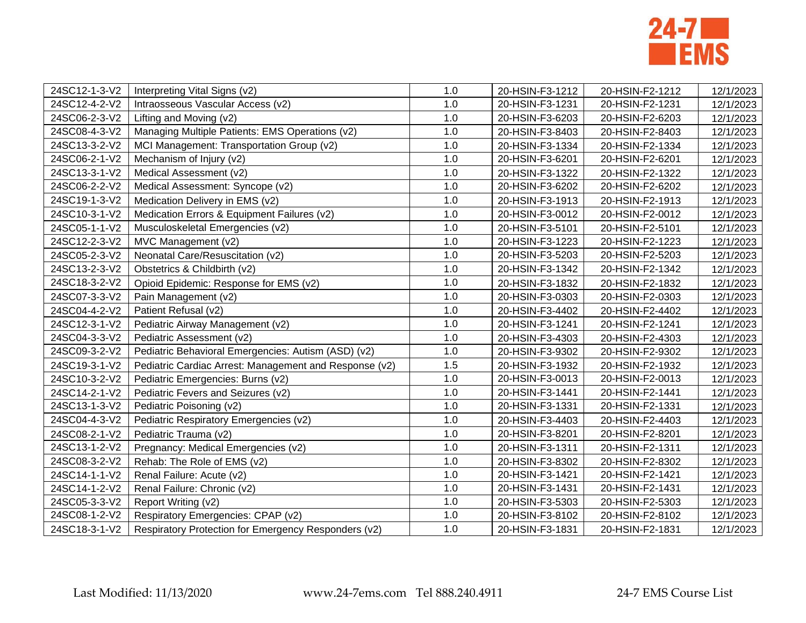

| 24SC12-1-3-V2 | Interpreting Vital Signs (v2)                          | 1.0 | 20-HSIN-F3-1212 | 20-HSIN-F2-1212 | 12/1/2023 |
|---------------|--------------------------------------------------------|-----|-----------------|-----------------|-----------|
| 24SC12-4-2-V2 | Intraosseous Vascular Access (v2)                      | 1.0 | 20-HSIN-F3-1231 | 20-HSIN-F2-1231 | 12/1/2023 |
| 24SC06-2-3-V2 | Lifting and Moving (v2)                                | 1.0 | 20-HSIN-F3-6203 | 20-HSIN-F2-6203 | 12/1/2023 |
| 24SC08-4-3-V2 | Managing Multiple Patients: EMS Operations (v2)        | 1.0 | 20-HSIN-F3-8403 | 20-HSIN-F2-8403 | 12/1/2023 |
| 24SC13-3-2-V2 | MCI Management: Transportation Group (v2)              | 1.0 | 20-HSIN-F3-1334 | 20-HSIN-F2-1334 | 12/1/2023 |
| 24SC06-2-1-V2 | Mechanism of Injury (v2)                               | 1.0 | 20-HSIN-F3-6201 | 20-HSIN-F2-6201 | 12/1/2023 |
| 24SC13-3-1-V2 | Medical Assessment (v2)                                | 1.0 | 20-HSIN-F3-1322 | 20-HSIN-F2-1322 | 12/1/2023 |
| 24SC06-2-2-V2 | Medical Assessment: Syncope (v2)                       | 1.0 | 20-HSIN-F3-6202 | 20-HSIN-F2-6202 | 12/1/2023 |
| 24SC19-1-3-V2 | Medication Delivery in EMS (v2)                        | 1.0 | 20-HSIN-F3-1913 | 20-HSIN-F2-1913 | 12/1/2023 |
| 24SC10-3-1-V2 | Medication Errors & Equipment Failures (v2)            | 1.0 | 20-HSIN-F3-0012 | 20-HSIN-F2-0012 | 12/1/2023 |
| 24SC05-1-1-V2 | Musculoskeletal Emergencies (v2)                       | 1.0 | 20-HSIN-F3-5101 | 20-HSIN-F2-5101 | 12/1/2023 |
| 24SC12-2-3-V2 | MVC Management (v2)                                    | 1.0 | 20-HSIN-F3-1223 | 20-HSIN-F2-1223 | 12/1/2023 |
| 24SC05-2-3-V2 | Neonatal Care/Resuscitation (v2)                       | 1.0 | 20-HSIN-F3-5203 | 20-HSIN-F2-5203 | 12/1/2023 |
| 24SC13-2-3-V2 | Obstetrics & Childbirth (v2)                           | 1.0 | 20-HSIN-F3-1342 | 20-HSIN-F2-1342 | 12/1/2023 |
| 24SC18-3-2-V2 | Opioid Epidemic: Response for EMS (v2)                 | 1.0 | 20-HSIN-F3-1832 | 20-HSIN-F2-1832 | 12/1/2023 |
| 24SC07-3-3-V2 | Pain Management (v2)                                   | 1.0 | 20-HSIN-F3-0303 | 20-HSIN-F2-0303 | 12/1/2023 |
| 24SC04-4-2-V2 | Patient Refusal (v2)                                   | 1.0 | 20-HSIN-F3-4402 | 20-HSIN-F2-4402 | 12/1/2023 |
| 24SC12-3-1-V2 | Pediatric Airway Management (v2)                       | 1.0 | 20-HSIN-F3-1241 | 20-HSIN-F2-1241 | 12/1/2023 |
| 24SC04-3-3-V2 | Pediatric Assessment (v2)                              | 1.0 | 20-HSIN-F3-4303 | 20-HSIN-F2-4303 | 12/1/2023 |
| 24SC09-3-2-V2 | Pediatric Behavioral Emergencies: Autism (ASD) (v2)    | 1.0 | 20-HSIN-F3-9302 | 20-HSIN-F2-9302 | 12/1/2023 |
| 24SC19-3-1-V2 | Pediatric Cardiac Arrest: Management and Response (v2) | 1.5 | 20-HSIN-F3-1932 | 20-HSIN-F2-1932 | 12/1/2023 |
| 24SC10-3-2-V2 | Pediatric Emergencies: Burns (v2)                      | 1.0 | 20-HSIN-F3-0013 | 20-HSIN-F2-0013 | 12/1/2023 |
| 24SC14-2-1-V2 | Pediatric Fevers and Seizures (v2)                     | 1.0 | 20-HSIN-F3-1441 | 20-HSIN-F2-1441 | 12/1/2023 |
| 24SC13-1-3-V2 | Pediatric Poisoning (v2)                               | 1.0 | 20-HSIN-F3-1331 | 20-HSIN-F2-1331 | 12/1/2023 |
| 24SC04-4-3-V2 | Pediatric Respiratory Emergencies (v2)                 | 1.0 | 20-HSIN-F3-4403 | 20-HSIN-F2-4403 | 12/1/2023 |
| 24SC08-2-1-V2 | Pediatric Trauma (v2)                                  | 1.0 | 20-HSIN-F3-8201 | 20-HSIN-F2-8201 | 12/1/2023 |
| 24SC13-1-2-V2 | Pregnancy: Medical Emergencies (v2)                    | 1.0 | 20-HSIN-F3-1311 | 20-HSIN-F2-1311 | 12/1/2023 |
| 24SC08-3-2-V2 | Rehab: The Role of EMS (v2)                            | 1.0 | 20-HSIN-F3-8302 | 20-HSIN-F2-8302 | 12/1/2023 |
| 24SC14-1-1-V2 | Renal Failure: Acute (v2)                              | 1.0 | 20-HSIN-F3-1421 | 20-HSIN-F2-1421 | 12/1/2023 |
| 24SC14-1-2-V2 | Renal Failure: Chronic (v2)                            | 1.0 | 20-HSIN-F3-1431 | 20-HSIN-F2-1431 | 12/1/2023 |
| 24SC05-3-3-V2 | Report Writing (v2)                                    | 1.0 | 20-HSIN-F3-5303 | 20-HSIN-F2-5303 | 12/1/2023 |
| 24SC08-1-2-V2 | Respiratory Emergencies: CPAP (v2)                     | 1.0 | 20-HSIN-F3-8102 | 20-HSIN-F2-8102 | 12/1/2023 |
| 24SC18-3-1-V2 | Respiratory Protection for Emergency Responders (v2)   | 1.0 | 20-HSIN-F3-1831 | 20-HSIN-F2-1831 | 12/1/2023 |